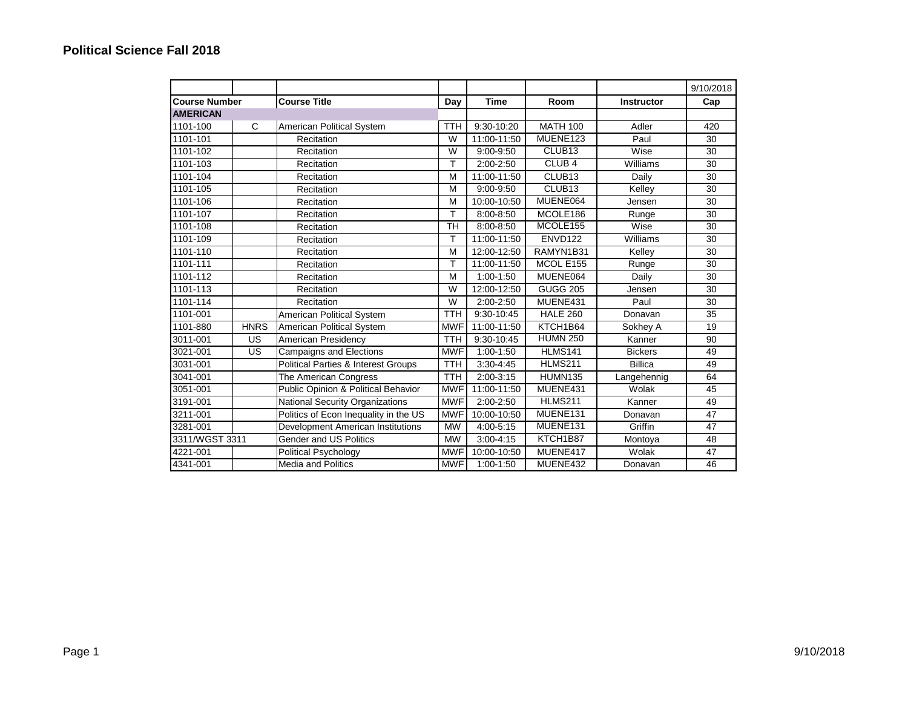|                      |             |                                                |            |               |                    |                   | 9/10/2018 |
|----------------------|-------------|------------------------------------------------|------------|---------------|--------------------|-------------------|-----------|
| <b>Course Number</b> |             | <b>Course Title</b>                            | Day        | <b>Time</b>   | Room               | <b>Instructor</b> | Cap       |
| <b>AMERICAN</b>      |             |                                                |            |               |                    |                   |           |
| 1101-100             | C           | American Political System                      | <b>TTH</b> | 9:30-10:20    | <b>MATH 100</b>    | Adler             | 420       |
| 1101-101             |             | Recitation                                     | W          | 11:00-11:50   | MUENE123           | Paul              | 30        |
| 1101-102             |             | <b>Recitation</b>                              | W          | 9:00-9:50     | CLUB <sub>13</sub> | Wise              | 30        |
| 1101-103             |             | Recitation                                     | T          | $2:00 - 2:50$ | CLUB <sub>4</sub>  | Williams          | 30        |
| 1101-104             |             | Recitation                                     | M          | 11:00-11:50   | CLUB <sub>13</sub> | Daily             | 30        |
| 1101-105             |             | Recitation                                     | M          | $9:00 - 9:50$ | CLUB <sub>13</sub> | Kelley            | 30        |
| 1101-106             |             | Recitation                                     | M          | 10:00-10:50   | MUENE064           | Jensen            | 30        |
| 1101-107             |             | Recitation                                     | т          | 8:00-8:50     | MCOLE186           | Runge             | 30        |
| 1101-108             |             | Recitation                                     | <b>TH</b>  | 8:00-8:50     | MCOLE155           | Wise              | 30        |
| 1101-109             |             | Recitation                                     | T          | 11:00-11:50   | ENVD122            | Williams          | 30        |
| 1101-110             |             | <b>Recitation</b>                              | M          | 12:00-12:50   | RAMYN1B31          | Kelley            | 30        |
| 1101-111             |             | Recitation                                     | T          | 11:00-11:50   | MCOL E155          | Runge             | 30        |
| 1101-112             |             | Recitation                                     | M          | 1:00-1:50     | MUENE064           | Daily             | 30        |
| 1101-113             |             | Recitation                                     | W          | 12:00-12:50   | <b>GUGG 205</b>    | Jensen            | 30        |
| 1101-114             |             | Recitation                                     | W          | 2:00-2:50     | MUENE431           | Paul              | 30        |
| 1101-001             |             | American Political System                      | <b>TTH</b> | 9:30-10:45    | <b>HALE 260</b>    | Donavan           | 35        |
| 1101-880             | <b>HNRS</b> | <b>American Political System</b>               | <b>MWF</b> | 11:00-11:50   | KTCH1B64           | Sokhey A          | 19        |
| 3011-001             | US          | American Presidency                            | <b>TTH</b> | 9:30-10:45    | <b>HUMN 250</b>    | Kanner            | 90        |
| 3021-001             | US          | <b>Campaigns and Elections</b>                 | <b>MWF</b> | 1:00-1:50     | HLMS141            | <b>Bickers</b>    | 49        |
| 3031-001             |             | <b>Political Parties &amp; Interest Groups</b> | <b>TTH</b> | 3:30-4:45     | <b>HLMS211</b>     | <b>Billica</b>    | 49        |
| 3041-001             |             | The American Congress                          | <b>TTH</b> | $2:00 - 3:15$ | <b>HUMN135</b>     | Langehennig       | 64        |
| 3051-001             |             | Public Opinion & Political Behavior            | <b>MWF</b> | 11:00-11:50   | MUENE431           | Wolak             | 45        |
| 3191-001             |             | National Security Organizations                | <b>MWF</b> | 2:00-2:50     | <b>HLMS211</b>     | Kanner            | 49        |
| 3211-001             |             | Politics of Econ Inequality in the US          | <b>MWF</b> | 10:00-10:50   | MUENE131           | Donavan           | 47        |
| 3281-001             |             | Development American Institutions              | <b>MW</b>  | 4:00-5:15     | MUENE131           | Griffin           | 47        |
| 3311/WGST 3311       |             | Gender and US Politics                         | <b>MW</b>  | $3:00 - 4:15$ | KTCH1B87           | Montoya           | 48        |
| 4221-001             |             | Political Psychology                           | <b>MWF</b> | 10:00-10:50   | MUENE417           | Wolak             | 47        |
| 4341-001             |             | <b>Media and Politics</b>                      | <b>MWF</b> | 1:00-1:50     | MUENE432           | Donavan           | 46        |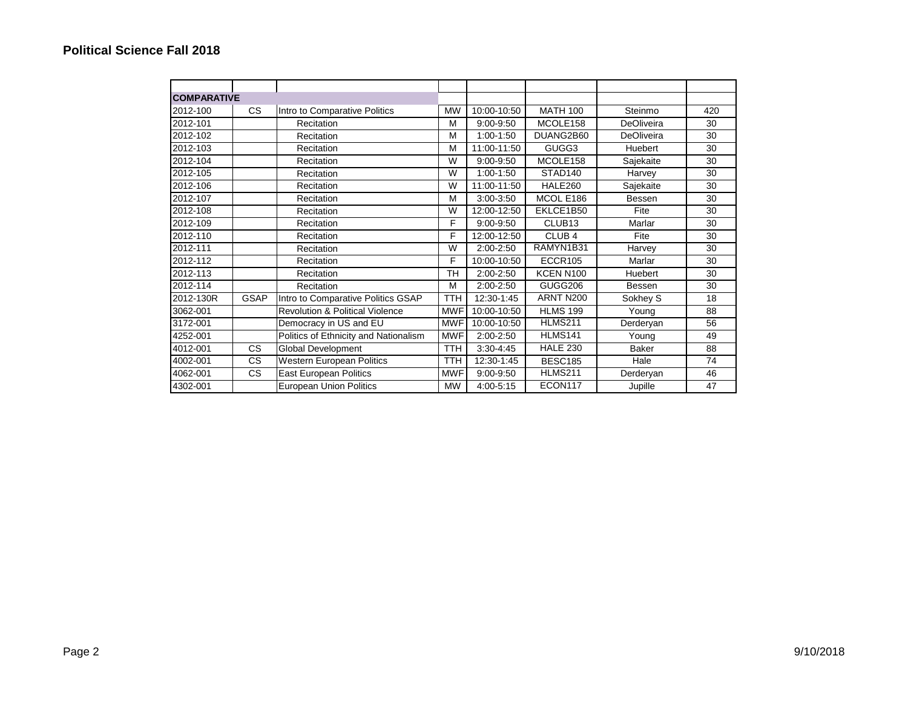| <b>COMPARATIVE</b> |             |                                            |            |               |                     |              |     |
|--------------------|-------------|--------------------------------------------|------------|---------------|---------------------|--------------|-----|
| 2012-100           | CS.         | Intro to Comparative Politics              | <b>MW</b>  | 10:00-10:50   | <b>MATH 100</b>     | Steinmo      | 420 |
| 2012-101           |             | Recitation                                 | M          | 9:00-9:50     | MCOLE158            | DeOliveira   | 30  |
| 2012-102           |             | Recitation                                 | M          | $1:00-1:50$   | DUANG2B60           | DeOliveira   | 30  |
| 2012-103           |             | <b>Recitation</b>                          | M          | 11:00-11:50   | GUGG3               | Huebert      | 30  |
| 2012-104           |             | Recitation                                 | W          | $9:00 - 9:50$ | MCOLE158            | Sajekaite    | 30  |
| 2012-105           |             | Recitation                                 | W          | 1:00-1:50     | STAD <sub>140</sub> | Harvey       | 30  |
| 2012-106           |             | Recitation                                 | W          | 11:00-11:50   | HALE260             | Sajekaite    | 30  |
| 2012-107           |             | Recitation                                 | M          | $3:00 - 3:50$ | MCOL E186           | Bessen       | 30  |
| 2012-108           |             | Recitation                                 | W          | 12:00-12:50   | EKLCE1B50           | Fite         | 30  |
| 2012-109           |             | Recitation                                 | F          | $9:00 - 9:50$ | CLUB <sub>13</sub>  | Marlar       | 30  |
| 2012-110           |             | Recitation                                 | F          | 12:00-12:50   | CLUB <sub>4</sub>   | Fite         | 30  |
| 2012-111           |             | Recitation                                 | W          | 2:00-2:50     | RAMYN1B31           | Harvey       | 30  |
| 2012-112           |             | Recitation                                 | F          | 10:00-10:50   | ECCR105             | Marlar       | 30  |
| 2012-113           |             | Recitation                                 | <b>TH</b>  | 2:00-2:50     | <b>KCEN N100</b>    | Huebert      | 30  |
| 2012-114           |             | Recitation                                 | M          | 2:00-2:50     | GUGG206             | Bessen       | 30  |
| 2012-130R          | <b>GSAP</b> | Intro to Comparative Politics GSAP         | <b>TTH</b> | 12:30-1:45    | ARNT N200           | Sokhey S     | 18  |
| 3062-001           |             | <b>Revolution &amp; Political Violence</b> | <b>MWF</b> | 10:00-10:50   | <b>HLMS 199</b>     | Young        | 88  |
| 3172-001           |             | Democracy in US and EU                     | <b>MWF</b> | 10:00-10:50   | HLMS211             | Derderyan    | 56  |
| 4252-001           |             | Politics of Ethnicity and Nationalism      | <b>MWF</b> | 2:00-2:50     | HLMS141             | Young        | 49  |
| 4012-001           | CS.         | Global Development                         | <b>TTH</b> | 3:30-4:45     | <b>HALE 230</b>     | <b>Baker</b> | 88  |
| 4002-001           | CS.         | Western European Politics                  | <b>TTH</b> | 12:30-1:45    | <b>BESC185</b>      | Hale         | 74  |
| 4062-001           | CS.         | <b>East European Politics</b>              | <b>MWF</b> | 9:00-9:50     | HLMS211             | Derderyan    | 46  |
| 4302-001           |             | <b>European Union Politics</b>             | MW         | 4:00-5:15     | ECON117             | Jupille      | 47  |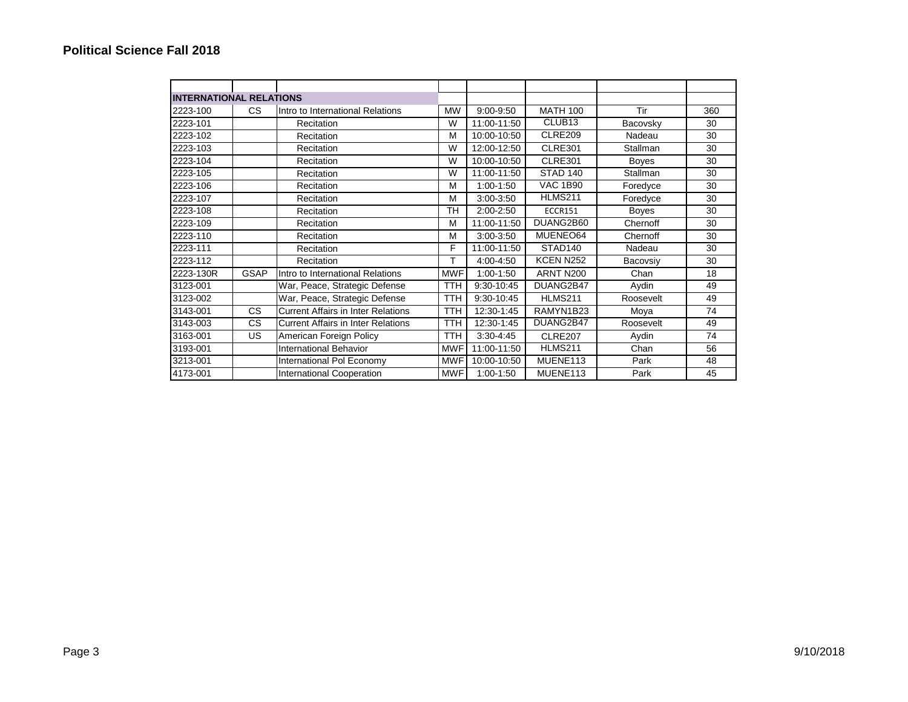| <b>INTERNATIONAL RELATIONS</b> |             |                                           |            |               |                     |                 |     |
|--------------------------------|-------------|-------------------------------------------|------------|---------------|---------------------|-----------------|-----|
| 2223-100                       | CS.         | Intro to International Relations          | <b>MW</b>  | 9:00-9:50     | <b>MATH 100</b>     | Tir             | 360 |
| 2223-101                       |             | Recitation                                | W          | 11:00-11:50   | CLUB <sub>13</sub>  | Bacovsky        | 30  |
| 2223-102                       |             | Recitation                                | M          | 10:00-10:50   | CLRE209             | Nadeau          | 30  |
| 2223-103                       |             | Recitation                                | W          | 12:00-12:50   | <b>CLRE301</b>      | Stallman        | 30  |
| 2223-104                       |             | Recitation                                | W          | 10:00-10:50   | <b>CLRE301</b>      | <b>Boyes</b>    | 30  |
| 2223-105                       |             | Recitation                                | W          | 11:00-11:50   | STAD 140            | <b>Stallman</b> | 30  |
| 2223-106                       |             | Recitation                                | M          | $1:00-1:50$   | <b>VAC 1B90</b>     | Foredyce        | 30  |
| 2223-107                       |             | Recitation                                | M          | 3:00-3:50     | HLMS211             | Foredyce        | 30  |
| 2223-108                       |             | Recitation                                | <b>TH</b>  | 2:00-2:50     | <b>ECCR151</b>      | <b>Boyes</b>    | 30  |
| 2223-109                       |             | Recitation                                | M          | 11:00-11:50   | DUANG2B60           | Chernoff        | 30  |
| 2223-110                       |             | Recitation                                | M          | $3:00 - 3:50$ | MUENEO64            | Chernoff        | 30  |
| 2223-111                       |             | Recitation                                | F          | 11:00-11:50   | STAD <sub>140</sub> | Nadeau          | 30  |
| 2223-112                       |             | Recitation                                | т          | 4:00-4:50     | KCEN N252           | Bacovsiy        | 30  |
| 2223-130R                      | <b>GSAP</b> | Intro to International Relations          | <b>MWF</b> | $1:00-1:50$   | ARNT N200           | Chan            | 18  |
| 3123-001                       |             | War, Peace, Strategic Defense             | TTH        | 9:30-10:45    | DUANG2B47           | Aydin           | 49  |
| 3123-002                       |             | War, Peace, Strategic Defense             | TTH        | 9:30-10:45    | <b>HLMS211</b>      | Roosevelt       | 49  |
| 3143-001                       | CS.         | <b>Current Affairs in Inter Relations</b> | <b>TTH</b> | 12:30-1:45    | RAMYN1B23           | Moya            | 74  |
| 3143-003                       | CS.         | <b>Current Affairs in Inter Relations</b> | TTH        | 12:30-1:45    | DUANG2B47           | Roosevelt       | 49  |
| 3163-001                       | US.         | American Foreign Policy                   | TTH        | 3:30-4:45     | <b>CLRE207</b>      | Aydin           | 74  |
| 3193-001                       |             | <b>International Behavior</b>             | <b>MWF</b> | 11:00-11:50   | HLMS211             | Chan            | 56  |
| 3213-001                       |             | International Pol Economy                 | <b>MWF</b> | 10:00-10:50   | MUENE113            | Park            | 48  |
| 4173-001                       |             | International Cooperation                 | <b>MWF</b> | $1:00-1:50$   | MUENE113            | Park            | 45  |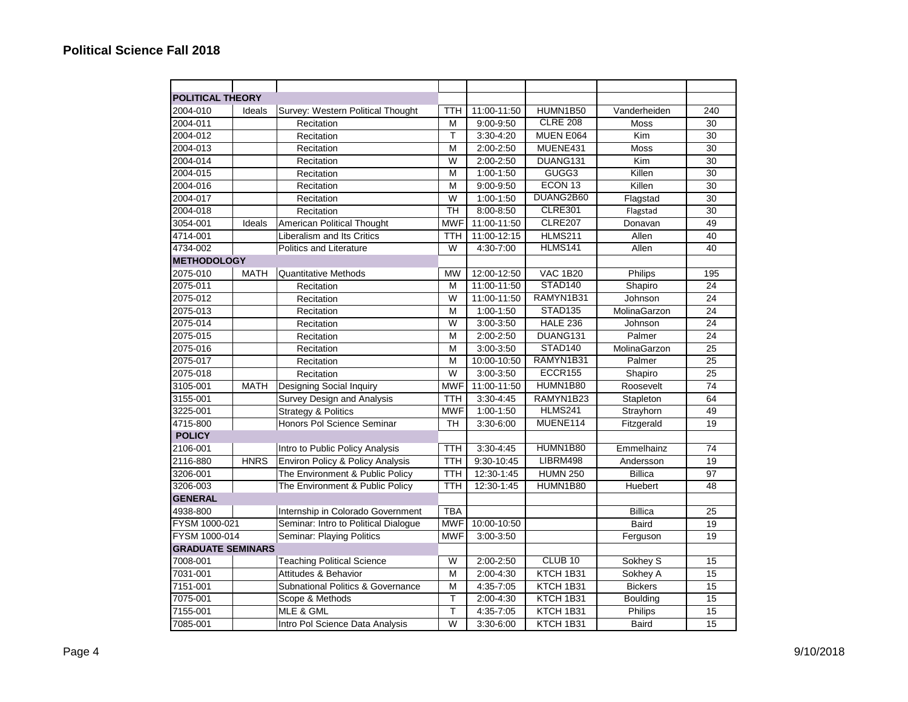| <b>POLITICAL THEORY</b>  |             |                                             |                  |               |                     |                |                 |
|--------------------------|-------------|---------------------------------------------|------------------|---------------|---------------------|----------------|-----------------|
| 2004-010                 | Ideals      | Survey: Western Political Thought           | <b>TTH</b>       | 11:00-11:50   | HUMN1B50            | Vanderheiden   | 240             |
| 2004-011                 |             | Recitation                                  | M                | $9:00 - 9:50$ | <b>CLRE 208</b>     | <b>Moss</b>    | 30              |
| 2004-012                 |             | Recitation                                  | T                | 3:30-4:20     | MUEN E064           | Kim            | 30              |
| 2004-013                 |             | Recitation                                  | M                | 2:00-2:50     | MUENE431            | <b>Moss</b>    | 30              |
| 2004-014                 |             | Recitation                                  | W                | 2:00-2:50     | DUANG131            | Kim            | 30              |
| 2004-015                 |             | Recitation                                  | M                | 1:00-1:50     | GUGG3               | Killen         | 30              |
| 2004-016                 |             |                                             | M                | 9:00-9:50     | ECON <sub>13</sub>  | Killen         | 30              |
|                          |             | Recitation                                  | W                |               | DUANG2B60           |                | $\overline{30}$ |
| 2004-017                 |             | Recitation                                  | $\overline{T}$ H | 1:00-1:50     | <b>CLRE301</b>      | Flagstad       |                 |
| 2004-018                 |             | Recitation                                  |                  | 8:00-8:50     | <b>CLRE207</b>      | Flagstad       | 30<br>49        |
| 3054-001                 | Ideals      | American Political Thought                  | <b>MWF</b>       | 11:00-11:50   |                     | Donavan        |                 |
| 4714-001                 |             | Liberalism and Its Critics                  | <b>TTH</b>       | 11:00-12:15   | <b>HLMS211</b>      | Allen          | 40              |
| 4734-002                 |             | Politics and Literature                     | W                | 4:30-7:00     | HLMS141             | Allen          | 40              |
| <b>METHODOLOGY</b>       |             |                                             |                  |               |                     |                |                 |
| 2075-010                 | <b>MATH</b> | <b>Quantitative Methods</b>                 | <b>MW</b>        | 12:00-12:50   | <b>VAC 1B20</b>     | Philips        | 195             |
| 2075-011                 |             | Recitation                                  | M                | 11:00-11:50   | STAD140             | Shapiro        | 24              |
| 2075-012                 |             | Recitation                                  | W                | 11:00-11:50   | RAMYN1B31           | Johnson        | 24              |
| 2075-013                 |             | Recitation                                  | M                | 1:00-1:50     | STAD <sub>135</sub> | MolinaGarzon   | 24              |
| 2075-014                 |             | Recitation                                  | W                | 3:00-3:50     | <b>HALE 236</b>     | Johnson        | 24              |
| 2075-015                 |             | Recitation                                  | M                | 2:00-2:50     | DUANG131            | Palmer         | 24              |
| 2075-016                 |             | Recitation                                  | M                | $3:00 - 3:50$ | STAD140             | MolinaGarzon   | 25              |
| 2075-017                 |             | Recitation                                  | M                | 10:00-10:50   | RAMYN1B31           | Palmer         | 25              |
| 2075-018                 |             | Recitation                                  | W                | 3:00-3:50     | ECCR155             | Shapiro        | 25              |
| 3105-001                 | <b>MATH</b> | Designing Social Inquiry                    | <b>MWF</b>       | 11:00-11:50   | HUMN1B80            | Roosevelt      | 74              |
| 3155-001                 |             | Survey Design and Analysis                  | <b>TTH</b>       | $3:30 - 4:45$ | RAMYN1B23           | Stapleton      | 64              |
| 3225-001                 |             | <b>Strategy &amp; Politics</b>              | <b>MWF</b>       | $1:00 - 1:50$ | HLMS241             | Strayhorn      | 49              |
| 4715-800                 |             | Honors Pol Science Seminar                  | <b>TH</b>        | 3:30-6:00     | MUENE114            | Fitzgerald     | 19              |
| <b>POLICY</b>            |             |                                             |                  |               |                     |                |                 |
| 2106-001                 |             | Intro to Public Policy Analysis             | <b>TTH</b>       | $3:30 - 4:45$ | HUMN1B80            | Emmelhainz     | 74              |
| 2116-880                 | <b>HNRS</b> | <b>Environ Policy &amp; Policy Analysis</b> | <b>TTH</b>       | 9:30-10:45    | LIBRM498            | Andersson      | 19              |
| 3206-001                 |             | The Environment & Public Policy             | <b>TTH</b>       | 12:30-1:45    | <b>HUMN 250</b>     | <b>Billica</b> | 97              |
| 3206-003                 |             | The Environment & Public Policy             | <b>TTH</b>       | 12:30-1:45    | HUMN1B80            | Huebert        | 48              |
| <b>GENERAL</b>           |             |                                             |                  |               |                     |                |                 |
| 4938-800                 |             | Internship in Colorado Government           | <b>TBA</b>       |               |                     | <b>Billica</b> | 25              |
| FYSM 1000-021            |             | Seminar: Intro to Political Dialogue        | <b>MWF</b>       | 10:00-10:50   |                     | Baird          | 19              |
| FYSM 1000-014            |             | Seminar: Playing Politics                   | <b>MWF</b>       | 3:00-3:50     |                     | Ferguson       | 19              |
| <b>GRADUATE SEMINARS</b> |             |                                             |                  |               |                     |                |                 |
| 7008-001                 |             | <b>Teaching Political Science</b>           | W                | 2:00-2:50     | CLUB <sub>10</sub>  | Sokhey S       | 15              |
| 7031-001                 |             | Attitudes & Behavior                        | M                | $2:00 - 4:30$ | KTCH 1B31           | Sokhey A       | 15              |
| 7151-001                 |             | Subnational Politics & Governance           | M                | 4:35-7:05     | KTCH 1B31           | <b>Bickers</b> | 15              |
| 7075-001                 |             | Scope & Methods                             | T                | 2:00-4:30     | KTCH 1B31           | Boulding       | 15              |
| 7155-001                 |             | MLE & GML                                   | T                | $4:35 - 7:05$ | KTCH 1B31           | Philips        | 15              |
| 7085-001                 |             | Intro Pol Science Data Analysis             | W                | 3:30-6:00     | KTCH 1B31           | <b>Baird</b>   | 15              |